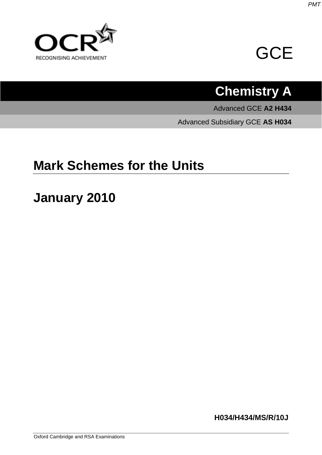



# **Chemistry A**

Advanced GCE **A2 H434**

Advanced Subsidiary GCE **AS H034**

## **Mark Schemes for the Units**

## **January 2010**

**H034/H434/MS/R/10J**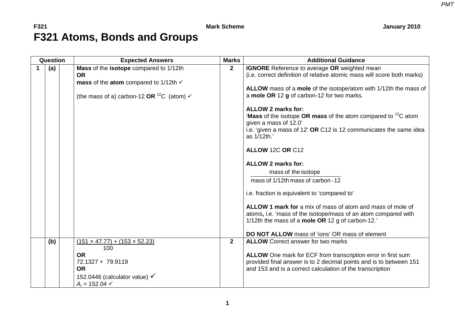### **F321** Mark Scheme January 2010 **F321 Atoms, Bonds and Groups**

| Question | <b>Expected Answers</b>                                                                                                                                                    | <b>Marks</b>   | <b>Additional Guidance</b>                                                                                                                                                                                                                                                                                                                                                                                                                                                                                                                                                                                                                                                                                                                                                                                                 |
|----------|----------------------------------------------------------------------------------------------------------------------------------------------------------------------------|----------------|----------------------------------------------------------------------------------------------------------------------------------------------------------------------------------------------------------------------------------------------------------------------------------------------------------------------------------------------------------------------------------------------------------------------------------------------------------------------------------------------------------------------------------------------------------------------------------------------------------------------------------------------------------------------------------------------------------------------------------------------------------------------------------------------------------------------------|
| (a)      | Mass of the isotope compared to 1/12th<br><b>OR</b><br>mass of the atom compared to 1/12th $\checkmark$<br>(the mass of a) carbon-12 OR $^{12}C$ (atom) $\checkmark$       | $\mathbf{2}$   | <b>IGNORE</b> Reference to average OR weighted mean<br>(i.e. correct definition of relative atomic mass will score both marks)<br>ALLOW mass of a mole of the isotope/atom with 1/12th the mass of<br>a mole OR 12 g of carbon-12 for two marks.<br><b>ALLOW 2 marks for:</b><br><b>'Mass</b> of the isotope OR mass of the atom compared to ${}^{12}C$ atom<br>given a mass of 12.0'<br>i.e. 'given a mass of 12' OR C12 is 12 communicates the same idea<br>as 1/12th.'<br>ALLOW 12C OR C12<br><b>ALLOW 2 marks for:</b><br>mass of the isotope<br>mass of 1/12th mass of carbon - 12<br>i.e. fraction is equivalent to 'compared to'<br>ALLOW 1 mark for a mix of mass of atom and mass of mole of<br>atoms, i.e. 'mass of the isotope/mass of an atom compared with<br>1/12th the mass of a mole OR 12 g of carbon-12. |
| (b)      | $(151 \times 47.77) + (153 \times 52.23)$<br>100<br><b>OR</b><br>72.1327 + 79.9119<br><b>OR</b><br>152.0446 (calculator value) $\checkmark$<br>$A_r = 152.04$ $\checkmark$ | $\overline{2}$ | <b>DO NOT ALLOW</b> mass of 'ions' OR mass of element<br><b>ALLOW</b> Correct answer for two marks<br>ALLOW One mark for ECF from transcription error in first sum<br>provided final answer is to 2 decimal points and is to between 151<br>and 153 and is a correct calculation of the transcription                                                                                                                                                                                                                                                                                                                                                                                                                                                                                                                      |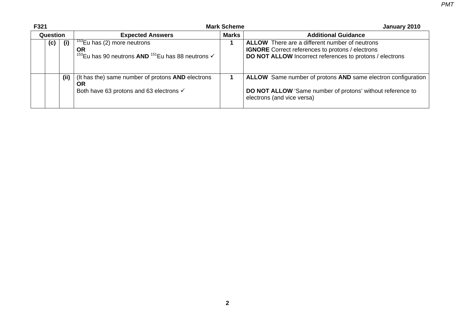**F321 Mark Scheme January 2010 Question Current Contract Expected Answers Marks Marks Additional Guidance (c) (i)** 153Eu has (2) more neutrons **OR**<sup>153</sup>Eu has 90 neutrons **AND** <sup>151</sup>Eu has 88 neutrons √ **1 ALLOW** There are a different number of neutrons **IGNORE** Correct references to protons / electrons **DO NOT ALLOW** Incorrect references to protons / electrons **(ii)** (It has the) same number of protons **AND** electrons **OR**  Both have 63 protons and 63 electrons √ **1 ALLOW** Same number of protons **AND** same electron configuration **DO NOT ALLOW** 'Same number of protons' without reference to electrons (and vice versa)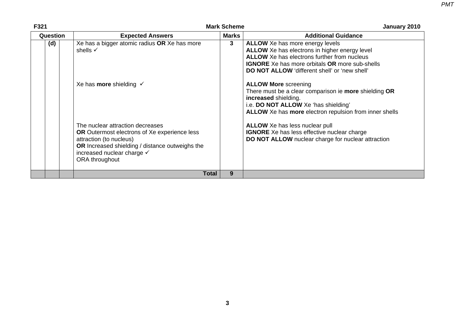| F321     |                                                                                                                                                                                                                              | <b>Mark Scheme</b> | January 2010                                                                                                                                                                                                                                            |
|----------|------------------------------------------------------------------------------------------------------------------------------------------------------------------------------------------------------------------------------|--------------------|---------------------------------------------------------------------------------------------------------------------------------------------------------------------------------------------------------------------------------------------------------|
| Question | <b>Expected Answers</b>                                                                                                                                                                                                      | <b>Marks</b>       | <b>Additional Guidance</b>                                                                                                                                                                                                                              |
| (d)      | Xe has a bigger atomic radius OR Xe has more<br>shells $\checkmark$                                                                                                                                                          | 3                  | <b>ALLOW</b> Xe has more energy levels<br>ALLOW Xe has electrons in higher energy level<br><b>ALLOW</b> Xe has electrons further from nucleus<br><b>IGNORE</b> Xe has more orbitals OR more sub-shells<br>DO NOT ALLOW 'different shell' or 'new shell' |
|          | Xe has <b>more</b> shielding $\checkmark$                                                                                                                                                                                    |                    | <b>ALLOW More screening</b><br>There must be a clear comparison ie more shielding OR<br>increased shielding.<br>i.e. DO NOT ALLOW Xe 'has shielding'<br>ALLOW Xe has more electron repulsion from inner shells                                          |
|          | The nuclear attraction decreases<br><b>OR</b> Outermost electrons of Xe experience less<br>attraction (to nucleus)<br><b>OR</b> Increased shielding / distance outweighs the<br>increased nuclear charge √<br>ORA throughout |                    | <b>ALLOW</b> Xe has less nuclear pull<br><b>IGNORE</b> Xe has less effective nuclear charge<br>DO NOT ALLOW nuclear charge for nuclear attraction                                                                                                       |
|          | <b>Total</b>                                                                                                                                                                                                                 | 9                  |                                                                                                                                                                                                                                                         |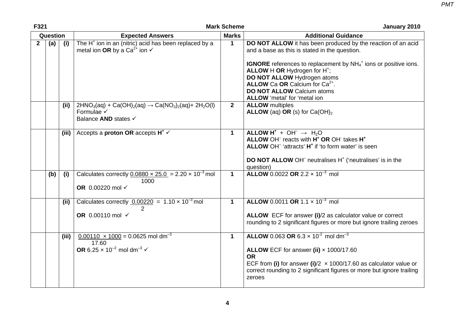| F321           |     |       | <b>Mark Scheme</b>                                                                                                              |              | January 2010                                                                                                                                                                                                                                                                                                                                                                                        |
|----------------|-----|-------|---------------------------------------------------------------------------------------------------------------------------------|--------------|-----------------------------------------------------------------------------------------------------------------------------------------------------------------------------------------------------------------------------------------------------------------------------------------------------------------------------------------------------------------------------------------------------|
| Question       |     |       | <b>Expected Answers</b>                                                                                                         | <b>Marks</b> | <b>Additional Guidance</b>                                                                                                                                                                                                                                                                                                                                                                          |
| $\overline{2}$ | (a) | (i)   | The H <sup>+</sup> ion in an (nitric) acid has been replaced by a<br>metal ion OR by a Ca <sup>2+</sup> ion $\checkmark$        | $\mathbf{1}$ | DO NOT ALLOW it has been produced by the reaction of an acid<br>and a base as this is stated in the question.<br><b>IGNORE</b> references to replacement by $NH4$ <sup>+</sup> ions or positive ions.<br>ALLOW H OR Hydrogen for H <sup>+</sup> ;<br>DO NOT ALLOW Hydrogen atoms<br>ALLOW Ca OR Calcium for Ca <sup>2+</sup> .<br><b>DO NOT ALLOW Calcium atoms</b><br>ALLOW 'metal' for 'metal ion |
|                |     | (ii)  | $2HNO3(aq) + Ca(OH)2(aq) \rightarrow Ca(NO3)2(aq) + 2H2O(l)$<br>Formulae √<br>Balance AND states √                              | $2^{\circ}$  | <b>ALLOW</b> multiples<br><b>ALLOW</b> (aq) OR (s) for $Ca(OH)_2$                                                                                                                                                                                                                                                                                                                                   |
|                |     | (iii) | Accepts a <b>proton OR</b> accepts $H^* \vee$                                                                                   | $\mathbf 1$  | ALLOW $H^+ + OH^- \rightarrow H_2O$<br>ALLOW OH <sup>-</sup> reacts with H <sup>+</sup> OR OH <sup>+</sup> takes H <sup>+</sup><br>ALLOW OH <sup>-</sup> 'attracts' H <sup>+</sup> if 'to form water' is seen<br><b>DO NOT ALLOW OH</b> <sup>-</sup> neutralises H <sup>+</sup> ('neutralises' is in the<br>question)                                                                               |
|                | (b) | (i)   | Calculates correctly $0.0880 \times 25.0 = 2.20 \times 10^{-3}$ mol<br>1000<br>OR 0.00220 mol √                                 | $\mathbf 1$  | <b>ALLOW</b> 0.0022 OR 2.2 $\times$ 10 <sup>-3</sup> mol                                                                                                                                                                                                                                                                                                                                            |
|                |     | (ii)  | Calculates correctly $0.00220 = 1.10 \times 10^{-3}$ mol<br>OR 0.00110 mol $\checkmark$                                         | $\mathbf 1$  | <b>ALLOW</b> 0.0011 OR 1.1 $\times$ 10 <sup>-3</sup> mol<br>ALLOW ECF for answer (i)/2 as calculator value or correct<br>rounding to 2 significant figures or more but ignore trailing zeroes                                                                                                                                                                                                       |
|                |     | (iii) | $0.00110 \times 1000 = 0.0625$ mol dm <sup>-3</sup><br>17.60<br>OR 6.25 $\times$ 10 <sup>-2</sup> mol dm <sup>-3</sup> $\times$ | $\mathbf 1$  | <b>ALLOW</b> 0.063 OR 6.3 $\times$ 10 <sup>-2</sup> mol dm <sup>-3</sup><br>ALLOW ECF for answer (ii) $\times$ 1000/17.60<br><b>OR</b><br>ECF from (i) for answer (i)/2 $\times$ 1000/17.60 as calculator value or<br>correct rounding to 2 significant figures or more but ignore trailing<br>zeroes                                                                                               |

**4**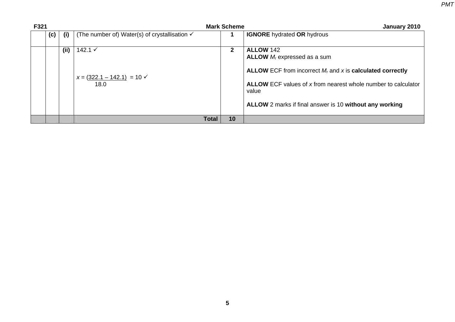| F321 |            |                                                          | <b>Mark Scheme</b> | January 2010                                                                                                                                                                                                                                            |
|------|------------|----------------------------------------------------------|--------------------|---------------------------------------------------------------------------------------------------------------------------------------------------------------------------------------------------------------------------------------------------------|
|      | (c)<br>(i) | (The number of) Water(s) of crystallisation $\checkmark$ |                    | <b>IGNORE</b> hydrated OR hydrous                                                                                                                                                                                                                       |
|      | (ii)       | 142.1 $\checkmark$<br>$x = (322.1 - 142.1) = 10$<br>18.0 | $\mathbf{2}$       | <b>ALLOW 142</b><br>ALLOW $M_r$ expressed as a sum<br>ALLOW ECF from incorrect $M_r$ and x is calculated correctly<br>ALLOW ECF values of x from nearest whole number to calculator<br>value<br>ALLOW 2 marks if final answer is 10 without any working |
|      |            | <b>Total</b>                                             | 10                 |                                                                                                                                                                                                                                                         |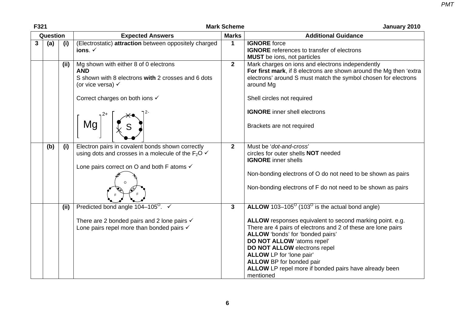| F321 |          |       |                                                                                                                                                                                   | <b>Mark Scheme</b> | January 2010                                                                                                                                                                                                                                                                                                                                                                                                                         |  |
|------|----------|-------|-----------------------------------------------------------------------------------------------------------------------------------------------------------------------------------|--------------------|--------------------------------------------------------------------------------------------------------------------------------------------------------------------------------------------------------------------------------------------------------------------------------------------------------------------------------------------------------------------------------------------------------------------------------------|--|
|      | Question |       | <b>Expected Answers</b>                                                                                                                                                           | <b>Marks</b>       | <b>Additional Guidance</b>                                                                                                                                                                                                                                                                                                                                                                                                           |  |
| 3    | (a)      | (i)   | (Electrostatic) attraction between oppositely charged<br>ions. $\checkmark$                                                                                                       | $\mathbf{1}$       | <b>IGNORE</b> force<br><b>IGNORE</b> references to transfer of electrons<br><b>MUST</b> be ions, not particles                                                                                                                                                                                                                                                                                                                       |  |
|      |          | (iii) | Mg shown with either 8 of 0 electrons<br><b>AND</b><br>S shown with 8 electrons with 2 crosses and 6 dots<br>(or vice versa) $\checkmark$<br>Correct charges on both ions √<br>Mg | $\overline{2}$     | Mark charges on ions and electrons independently<br>For first mark, if 8 electrons are shown around the Mg then 'extra<br>electrons' around S must match the symbol chosen for electrons<br>around Mg<br>Shell circles not required<br><b>IGNORE</b> inner shell electrons<br>Brackets are not required                                                                                                                              |  |
|      | (b)      | (i)   | Electron pairs in covalent bonds shown correctly<br>using dots and crosses in a molecule of the $F_2O \checkmark$<br>Lone pairs correct on O and both F atoms √                   | $\overline{2}$     | Must be 'dot-and-cross'<br>circles for outer shells <b>NOT</b> needed<br><b>IGNORE</b> inner shells<br>Non-bonding electrons of O do not need to be shown as pairs<br>Non-bonding electrons of F do not need to be shown as pairs                                                                                                                                                                                                    |  |
|      |          | (iii) | Predicted bond angle $104-105^\circ$ .<br>There are 2 bonded pairs and 2 lone pairs $\checkmark$<br>Lone pairs repel more than bonded pairs $\checkmark$                          | $\mathbf{3}$       | ALLOW $103-105^\circ$ (103 <sup>o</sup> is the actual bond angle)<br>ALLOW responses equivalent to second marking point. e.g.<br>There are 4 pairs of electrons and 2 of these are lone pairs<br>ALLOW 'bonds' for 'bonded pairs'<br>DO NOT ALLOW 'atoms repel'<br>DO NOT ALLOW electrons repel<br>ALLOW LP for 'lone pair'<br><b>ALLOW BP</b> for bonded pair<br>ALLOW LP repel more if bonded pairs have already been<br>mentioned |  |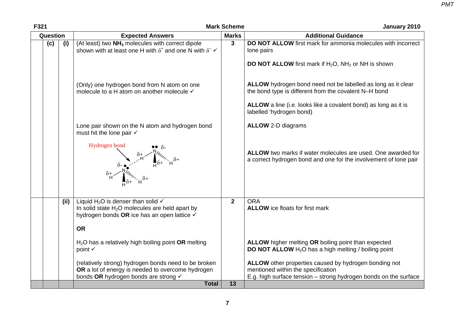| F321       | <b>Mark Scheme</b>                                                                                                                                                       | January 2010   |                                                                                                                                                                 |
|------------|--------------------------------------------------------------------------------------------------------------------------------------------------------------------------|----------------|-----------------------------------------------------------------------------------------------------------------------------------------------------------------|
| Question   | <b>Expected Answers</b><br>(At least) two NH <sub>3</sub> molecules with correct dipole<br>shown with at least one H with $\delta^+$ and one N with $\delta^ \checkmark$ | <b>Marks</b>   | <b>Additional Guidance</b>                                                                                                                                      |
| (c)<br>(i) |                                                                                                                                                                          | 3              | DO NOT ALLOW first mark for ammonia molecules with incorrect<br>lone pairs                                                                                      |
|            |                                                                                                                                                                          |                | <b>DO NOT ALLOW</b> first mark if $H_2O$ , $NH_2$ or NH is shown                                                                                                |
|            | (Only) one hydrogen bond from N atom on one<br>molecule to a H atom on another molecule √                                                                                |                | ALLOW hydrogen bond need not be labelled as long as it clear<br>the bond type is different from the covalent N-H bond                                           |
|            |                                                                                                                                                                          |                | ALLOW a line (i.e. looks like a covalent bond) as long as it is<br>labelled 'hydrogen bond)                                                                     |
|            | Lone pair shown on the N atom and hydrogen bond<br>must hit the lone pair √                                                                                              |                | <b>ALLOW 2-D diagrams</b>                                                                                                                                       |
|            | Hydrogen bond                                                                                                                                                            |                | ALLOW two marks if water molecules are used. One awarded for<br>a correct hydrogen bond and one for the involvement of lone pair                                |
| (ii)       | Liquid H <sub>2</sub> O is denser than solid $\checkmark$<br>In solid state $H_2O$ molecules are held apart by<br>hydrogen bonds OR ice has an open lattice ✓            | $\overline{2}$ | <b>ORA</b><br><b>ALLOW</b> ice floats for first mark                                                                                                            |
|            | <b>OR</b>                                                                                                                                                                |                |                                                                                                                                                                 |
|            | $H2O$ has a relatively high boiling point OR melting<br>point √                                                                                                          |                | ALLOW higher melting OR boiling point than expected<br><b>DO NOT ALLOW</b> $H_2O$ has a high melting / boiling point                                            |
|            | (relatively strong) hydrogen bonds need to be broken<br>OR a lot of energy is needed to overcome hydrogen<br>bonds OR hydrogen bonds are strong √                        |                | ALLOW other properties caused by hydrogen bonding not<br>mentioned within the specification<br>E.g. high surface tension - strong hydrogen bonds on the surface |
|            | <b>Total</b>                                                                                                                                                             | 13             |                                                                                                                                                                 |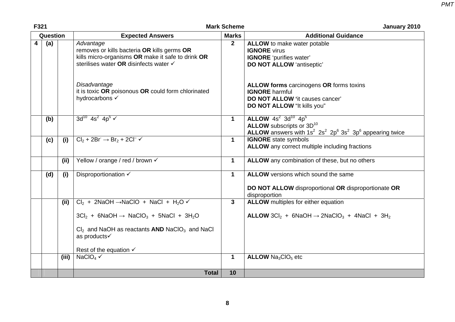| F321 |          |       | <b>Mark Scheme</b>                                                                                                                                                                                                                                                            | January 2010 |                                                                                                                                                              |  |
|------|----------|-------|-------------------------------------------------------------------------------------------------------------------------------------------------------------------------------------------------------------------------------------------------------------------------------|--------------|--------------------------------------------------------------------------------------------------------------------------------------------------------------|--|
|      | Question |       | <b>Expected Answers</b>                                                                                                                                                                                                                                                       | <b>Marks</b> | <b>Additional Guidance</b>                                                                                                                                   |  |
| 4    | (a)      |       | Advantage<br>removes or kills bacteria OR kills germs OR<br>kills micro-organisms OR make it safe to drink OR<br>sterilises water OR disinfects water √                                                                                                                       | $\mathbf{2}$ | <b>ALLOW</b> to make water potable<br><b>IGNORE</b> virus<br><b>IGNORE</b> 'purifies water'<br><b>DO NOT ALLOW 'antiseptic'</b>                              |  |
|      |          |       | Disadvantage<br>it is toxic OR poisonous OR could form chlorinated<br>hydrocarbons √                                                                                                                                                                                          |              | ALLOW forms carcinogens OR forms toxins<br><b>IGNORE</b> harmful<br>DO NOT ALLOW 'it causes cancer'<br>DO NOT ALLOW "It kills you"                           |  |
|      | (b)      |       | $3d^{10}$ 4s <sup>2</sup> 4p <sup>5</sup> $\checkmark$                                                                                                                                                                                                                        | $\mathbf 1$  | ALLOW $4s^2$ 3d <sup>10</sup> $4p^5$<br>ALLOW subscripts or 3D <sup>10</sup><br><b>ALLOW</b> answers with $1s^2$ $2s^2$ $2p^6$ $3s^2$ $3p^6$ appearing twice |  |
|      | (c)      | (i)   | $Cl_2 + 2Br \rightarrow Br_2 + 2Cl \rightarrow \checkmark$                                                                                                                                                                                                                    | $\mathbf{1}$ | <b>IGNORE</b> state symbols<br><b>ALLOW</b> any correct multiple including fractions                                                                         |  |
|      |          | (ii)  | Yellow / orange / red / brown √                                                                                                                                                                                                                                               | $\mathbf 1$  | ALLOW any combination of these, but no others                                                                                                                |  |
|      | (d)      | (i)   | Disproportionation √                                                                                                                                                                                                                                                          | $\mathbf 1$  | <b>ALLOW</b> versions which sound the same<br>DO NOT ALLOW disproportional OR disproportionate OR<br>disproportion                                           |  |
|      |          | (ii)  | $Cl_2$ + 2NaOH $\rightarrow$ NaClO + NaCl + H <sub>2</sub> O $\checkmark$<br>$3Cl_2$ + 6NaOH $\rightarrow$ NaClO <sub>3</sub> + 5NaCl + 3H <sub>2</sub> O<br>$Cl2$ and NaOH as reactants AND NaClO <sub>3</sub> and NaCl<br>as products√<br>Rest of the equation $\checkmark$ | 3            | <b>ALLOW</b> multiples for either equation<br>ALLOW $3Cl_2 + 6NaOH \rightarrow 2NaClO_3 + 4NaCl + 3H_2$                                                      |  |
|      |          | (iii) | NaClO <sub>4</sub> $\checkmark$                                                                                                                                                                                                                                               | $\mathbf 1$  | <b>ALLOW Na<sub>3</sub>CIO<sub>5</sub></b> etc                                                                                                               |  |
|      |          |       | <b>Total</b>                                                                                                                                                                                                                                                                  | 10           |                                                                                                                                                              |  |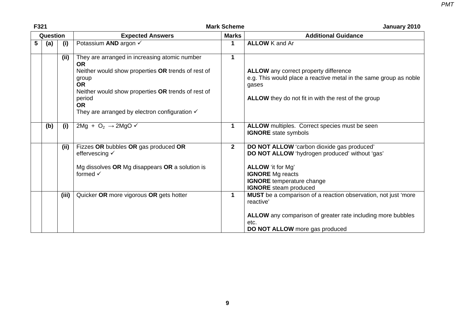| F321     |     |       |                                                                                                                                                                                                                                                                                 | <b>Mark Scheme</b> | January 2010                                                                                                                                                                                                            |  |
|----------|-----|-------|---------------------------------------------------------------------------------------------------------------------------------------------------------------------------------------------------------------------------------------------------------------------------------|--------------------|-------------------------------------------------------------------------------------------------------------------------------------------------------------------------------------------------------------------------|--|
| Question |     |       | <b>Expected Answers</b><br><b>Marks</b>                                                                                                                                                                                                                                         |                    | <b>Additional Guidance</b>                                                                                                                                                                                              |  |
| 5        | (a) | (i)   | Potassium AND argon √                                                                                                                                                                                                                                                           | 1                  | <b>ALLOW</b> K and Ar                                                                                                                                                                                                   |  |
|          |     | (ii)  | They are arranged in increasing atomic number<br><b>OR</b><br>Neither would show properties OR trends of rest of<br>group<br><b>OR</b><br>Neither would show properties OR trends of rest of<br>period<br><b>OR</b><br>They are arranged by electron configuration $\checkmark$ | $\mathbf 1$        | <b>ALLOW</b> any correct property difference<br>e.g. This would place a reactive metal in the same group as noble<br>gases<br><b>ALLOW</b> they do not fit in with the rest of the group                                |  |
|          | (b) | (i)   | 2Mg + O <sub>2</sub> $\rightarrow$ 2MgO $\checkmark$                                                                                                                                                                                                                            | 1                  | ALLOW multiples. Correct species must be seen<br><b>IGNORE</b> state symbols                                                                                                                                            |  |
|          |     | (ii)  | Fizzes OR bubbles OR gas produced OR<br>effervescing √<br>Mg dissolves OR Mg disappears OR a solution is<br>formed $\checkmark$                                                                                                                                                 | 2 <sup>1</sup>     | DO NOT ALLOW 'carbon dioxide gas produced'<br>DO NOT ALLOW 'hydrogen produced' without 'gas'<br><b>ALLOW</b> 'it for Mg'<br><b>IGNORE</b> Mg reacts<br><b>IGNORE</b> temperature change<br><b>IGNORE</b> steam produced |  |
|          |     | (iii) | Quicker OR more vigorous OR gets hotter                                                                                                                                                                                                                                         | $\mathbf{1}$       | MUST be a comparison of a reaction observation, not just 'more<br>reactive'<br>ALLOW any comparison of greater rate including more bubbles<br>etc.<br>DO NOT ALLOW more gas produced                                    |  |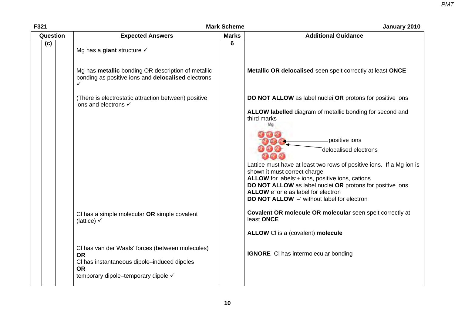| F321     | <b>Mark Scheme</b>                                                                                                              | January 2010 |                                                                                                                                                         |
|----------|---------------------------------------------------------------------------------------------------------------------------------|--------------|---------------------------------------------------------------------------------------------------------------------------------------------------------|
| Question | <b>Expected Answers</b>                                                                                                         | <b>Marks</b> | <b>Additional Guidance</b>                                                                                                                              |
| (c)      | Mg has a giant structure $\checkmark$                                                                                           | 6            |                                                                                                                                                         |
|          | Mg has <b>metallic</b> bonding OR description of metallic<br>bonding as positive ions and delocalised electrons<br>$\checkmark$ |              | Metallic OR delocalised seen spelt correctly at least ONCE                                                                                              |
|          | (There is electrostatic attraction between) positive<br>ions and electrons √                                                    |              | DO NOT ALLOW as label nuclei OR protons for positive ions                                                                                               |
|          |                                                                                                                                 |              | ALLOW labelled diagram of metallic bonding for second and<br>third marks<br>Mo                                                                          |
|          |                                                                                                                                 |              | positive ions<br>delocalised electrons                                                                                                                  |
|          |                                                                                                                                 |              | Lattice must have at least two rows of positive ions. If a Mg ion is<br>shown it must correct charge<br>ALLOW for labels:+ ions, positive ions, cations |
|          |                                                                                                                                 |              | DO NOT ALLOW as label nuclei OR protons for positive ions<br>ALLOW e' or e as label for electron<br>DO NOT ALLOW '-' without label for electron         |
|          | CI has a simple molecular OR simple covalent                                                                                    |              | Covalent OR molecule OR molecular seen spelt correctly at                                                                                               |
|          | (lattice) $\checkmark$                                                                                                          |              | least ONCE                                                                                                                                              |
|          |                                                                                                                                 |              | ALLOW CI is a (covalent) molecule                                                                                                                       |
|          | CI has van der Waals' forces (between molecules)<br><b>OR</b><br>CI has instantaneous dipole-induced dipoles                    |              | <b>IGNORE</b> CI has intermolecular bonding                                                                                                             |
|          | <b>OR</b><br>temporary dipole–temporary dipole √                                                                                |              |                                                                                                                                                         |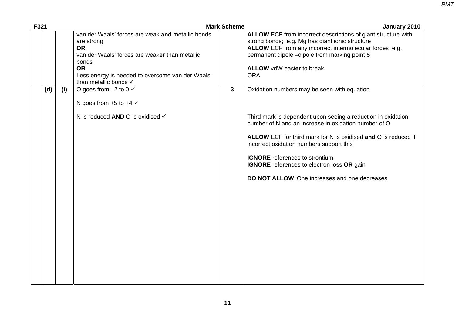| F321 |     |                                                                                                                                                                                                                                   | <b>Mark Scheme</b> | January 2010                                                                                                                                                                                                                                                                                                                                                                                                                      |
|------|-----|-----------------------------------------------------------------------------------------------------------------------------------------------------------------------------------------------------------------------------------|--------------------|-----------------------------------------------------------------------------------------------------------------------------------------------------------------------------------------------------------------------------------------------------------------------------------------------------------------------------------------------------------------------------------------------------------------------------------|
|      |     | van der Waals' forces are weak and metallic bonds<br>are strong<br><b>OR</b><br>van der Waals' forces are weaker than metallic<br>bonds<br><b>OR</b><br>Less energy is needed to overcome van der Waals'<br>than metallic bonds V |                    | ALLOW ECF from incorrect descriptions of giant structure with<br>strong bonds; e.g. Mg has giant ionic structure<br>ALLOW ECF from any incorrect intermolecular forces e.g.<br>permanent dipole -dipole from marking point 5<br><b>ALLOW</b> vdW easier to break<br><b>ORA</b>                                                                                                                                                    |
| (d)  | (i) | O goes from $-2$ to 0 $\checkmark$<br>N goes from $+5$ to $+4 \checkmark$<br>N is reduced AND O is oxidised V                                                                                                                     | $\mathbf{3}$       | Oxidation numbers may be seen with equation<br>Third mark is dependent upon seeing a reduction in oxidation<br>number of N and an increase in oxidation number of O<br>ALLOW ECF for third mark for N is oxidised and O is reduced if<br>incorrect oxidation numbers support this<br><b>IGNORE</b> references to strontium<br>IGNORE references to electron loss OR gain<br><b>DO NOT ALLOW 'One increases and one decreases'</b> |
|      |     |                                                                                                                                                                                                                                   |                    |                                                                                                                                                                                                                                                                                                                                                                                                                                   |

**11**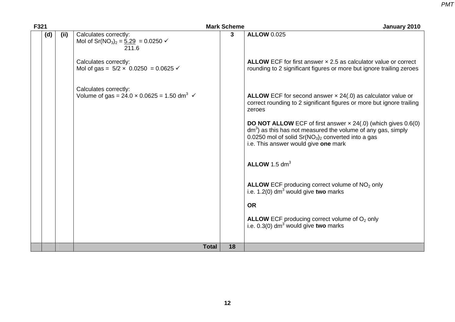| F321 |     |     |                                                                                                                       | <b>Mark Scheme</b> | January 2010                                                                                                                                                                                                                                 |
|------|-----|-----|-----------------------------------------------------------------------------------------------------------------------|--------------------|----------------------------------------------------------------------------------------------------------------------------------------------------------------------------------------------------------------------------------------------|
|      | (d) | (i) | Calculates correctly:<br>Mol of Sr(NO <sub>3</sub> ) <sub>2</sub> = $\underline{5.29}$ = 0.0250 $\checkmark$<br>211.6 | $\mathbf{3}$       | <b>ALLOW 0.025</b>                                                                                                                                                                                                                           |
|      |     |     | Calculates correctly:<br>Mol of gas = $5/2 \times 0.0250 = 0.0625$ $\checkmark$                                       |                    | ALLOW ECF for first answer $\times$ 2.5 as calculator value or correct<br>rounding to 2 significant figures or more but ignore trailing zeroes                                                                                               |
|      |     |     | Calculates correctly:<br>Volume of gas = $24.0 \times 0.0625 = 1.50$ dm <sup>3</sup> $\checkmark$                     |                    | ALLOW ECF for second answer $\times$ 24(.0) as calculator value or<br>correct rounding to 2 significant figures or more but ignore trailing<br>zeroes                                                                                        |
|      |     |     |                                                                                                                       |                    | <b>DO NOT ALLOW</b> ECF of first answer $\times$ 24(.0) (which gives 0.6(0)<br>$dm3$ ) as this has not measured the volume of any gas, simply<br>0.0250 mol of solid $Sr(NO3)2$ converted into a gas<br>i.e. This answer would give one mark |
|      |     |     |                                                                                                                       |                    | ALLOW 1.5 $dm3$                                                                                                                                                                                                                              |
|      |     |     |                                                                                                                       |                    | ALLOW ECF producing correct volume of NO <sub>2</sub> only<br>i.e. $1.2(0)$ dm <sup>3</sup> would give two marks                                                                                                                             |
|      |     |     |                                                                                                                       |                    | <b>OR</b>                                                                                                                                                                                                                                    |
|      |     |     |                                                                                                                       |                    | <b>ALLOW</b> ECF producing correct volume of $O2$ only<br>i.e. $0.3(0)$ dm <sup>3</sup> would give two marks                                                                                                                                 |
|      |     |     |                                                                                                                       |                    |                                                                                                                                                                                                                                              |
|      |     |     | <b>Total</b>                                                                                                          | 18                 |                                                                                                                                                                                                                                              |